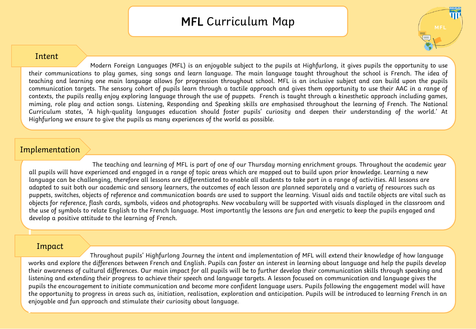## MFL Curriculum Map

## Intent

Modern Foreign Languages (MFL) is an enjoyable subject to the pupils at Highfurlong, it gives pupils the opportunity to use their communications to play games, sing songs and learn language. The main language taught throughout the school is French. The idea of teaching and learning one main language allows for progression throughout school. MFL is an inclusive subject and can build upon the pupils communication targets. The sensory cohort of pupils learn through a tactile approach and gives them opportunity to use their AAC in a range of contexts, the pupils really enjoy exploring language through the use of puppets. French is taught through a kinesthetic approach including games, miming, role play and action songs. Listening, Responding and Speaking skills are emphasised throughout the learning of French. The National Curriculum states, 'A high-quality languages education should foster pupils' curiosity and deepen their understanding of the world.' At Highfurlong we ensure to give the pupils as many experiences of the world as possible.

## Implementation

The teaching and learning of MFL is part of one of our Thursday morning enrichment groups. Throughout the academic year all pupils will have experienced and engaged in a range of topic areas which are mapped out to build upon prior knowledge. Learning a new language can be challenging, therefore all lessons are differentiated to enable all students to take part in a range of activities. All lessons are adapted to suit both our academic and sensory learners, the outcomes of each lesson are planned separately and a variety of resources such as puppets, switches, objects of reference and communication boards are used to support the learning. Visual aids and tactile objects are vital such as objects for reference, flash cards, symbols, videos and photographs. New vocabulary will be supported with visuals displayed in the classroom and the use of symbols to relate English to the French language. Most importantly the lessons are fun and energetic to keep the pupils engaged and develop a positive attitude to the learning of French.

## Impact

Throughout pupils' Highfurlong Journey the intent and implementation of MFL will extend their knowledge of how language works and explore the differences between French and English. Pupils can foster an interest in learning about language and help the pupils develop their awareness of cultural differences. Our main impact for all pupils will be to further develop their communication skills through speaking and listening and extending their progress to achieve their speech and language targets. A lesson focused on communication and language gives the pupils the encouragement to initiate communication and become more confident language users. Pupils following the engagement model will have the opportunity to progress in areas such as, initiation, realisation, exploration and anticipation. Pupils will be introduced to learning French in an enjoyable and fun approach and stimulate their curiosity about language.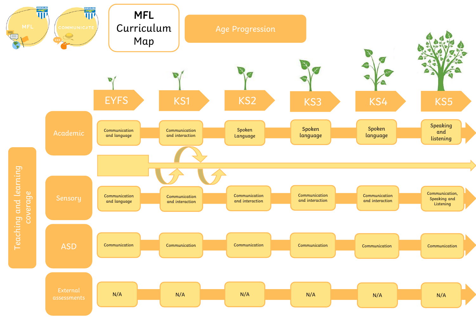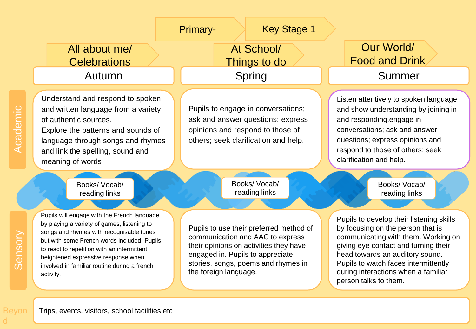

d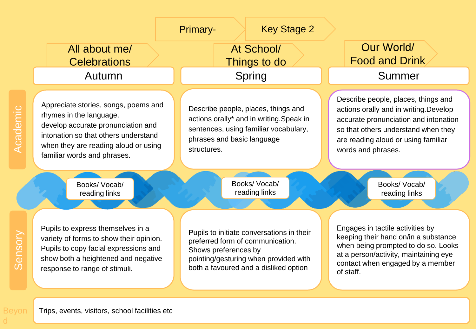|                              |                                                                                                                                                                                                                      | <b>Key Stage 2</b><br>Primary-                                                                                                                                                          |                                                                                                                                                                                                                            |
|------------------------------|----------------------------------------------------------------------------------------------------------------------------------------------------------------------------------------------------------------------|-----------------------------------------------------------------------------------------------------------------------------------------------------------------------------------------|----------------------------------------------------------------------------------------------------------------------------------------------------------------------------------------------------------------------------|
|                              | All about me/<br><b>Celebrations</b>                                                                                                                                                                                 | At School/<br>Things to do                                                                                                                                                              | Our World/<br><b>Food and Drink</b>                                                                                                                                                                                        |
|                              | Autumn                                                                                                                                                                                                               | Spring                                                                                                                                                                                  | Summer                                                                                                                                                                                                                     |
| $\mathcal{O}$<br>emi<br>Acad | Appreciate stories, songs, poems and<br>rhymes in the language.<br>develop accurate pronunciation and<br>intonation so that others understand<br>when they are reading aloud or using<br>familiar words and phrases. | Describe people, places, things and<br>actions orally* and in writing. Speak in<br>sentences, using familiar vocabulary,<br>phrases and basic language<br>structures.                   | Describe people, places, things and<br>actions orally and in writing. Develop<br>accurate pronunciation and intonation<br>so that others understand when they<br>are reading aloud or using familiar<br>words and phrases. |
|                              | Books/Vocab/<br>reading links                                                                                                                                                                                        | Books/ Vocab/<br>reading links                                                                                                                                                          | Books/Vocab/<br>reading links                                                                                                                                                                                              |
| ensory                       | Pupils to express themselves in a<br>variety of forms to show their opinion.<br>Pupils to copy facial expressions and<br>show both a heightened and negative<br>response to range of stimuli.                        | Pupils to initiate conversations in their<br>preferred form of communication.<br>Shows preferences by<br>pointing/gesturing when provided with<br>both a favoured and a disliked option | Engages in tactile activities by<br>keeping their hand on/in a substance<br>when being prompted to do so. Looks<br>at a person/activity, maintaining eye<br>contact when engaged by a member<br>of staff.                  |

Beyon

d